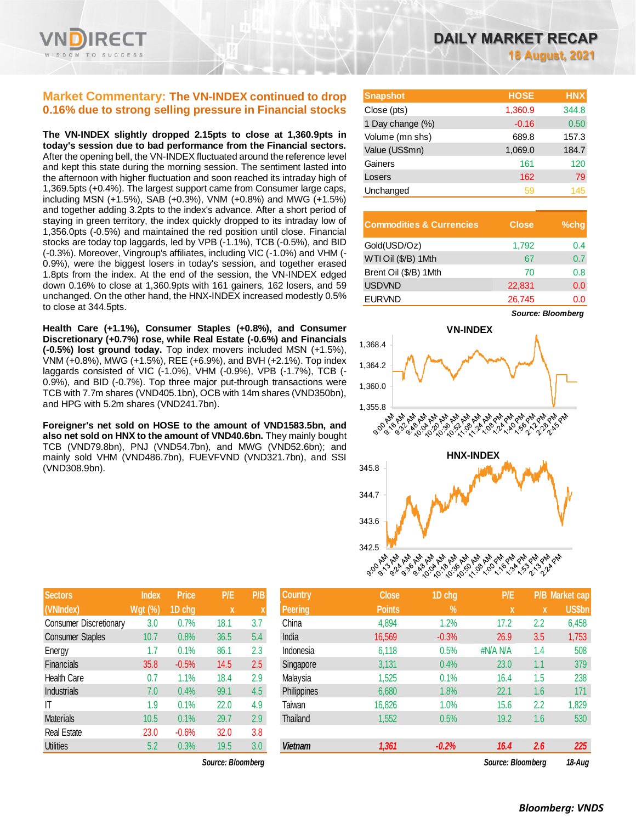## **Market Commentary: The VN-INDEX continued to drop 0.16% due to strong selling pressure in Financial stocks**

**The VN-INDEX slightly dropped 2.15pts to close at 1,360.9pts in today's session due to bad performance from the Financial sectors.**  After the opening bell, the VN-INDEX fluctuated around the reference level and kept this state during the morning session. The sentiment lasted into the afternoon with higher fluctuation and soon reached its intraday high of 1,369.5pts (+0.4%). The largest support came from Consumer large caps, including MSN (+1.5%), SAB (+0.3%), VNM (+0.8%) and MWG (+1.5%) and together adding 3.2pts to the index's advance. After a short period of staying in green territory, the index quickly dropped to its intraday low of 1,356.0pts (-0.5%) and maintained the red position until close. Financial stocks are today top laggards, led by VPB (-1.1%), TCB (-0.5%), and BID (-0.3%). Moreover, Vingroup's affiliates, including VIC (-1.0%) and VHM (- 0.9%), were the biggest losers in today's session, and together erased 1.8pts from the index. At the end of the session, the VN-INDEX edged down 0.16% to close at 1,360.9pts with 161 gainers, 162 losers, and 59 unchanged. On the other hand, the HNX-INDEX increased modestly 0.5% to close at 344.5pts.

**Health Care (+1.1%), Consumer Staples (+0.8%), and Consumer Discretionary (+0.7%) rose, while Real Estate (-0.6%) and Financials (-0.5%) lost ground today.** Top index movers included MSN (+1.5%), VNM (+0.8%), MWG (+1.5%), REE (+6.9%), and BVH (+2.1%). Top index laggards consisted of VIC (-1.0%), VHM (-0.9%), VPB (-1.7%), TCB (- 0.9%), and BID (-0.7%). Top three major put-through transactions were TCB with 7.7m shares (VND405.1bn), OCB with 14m shares (VND350bn), and HPG with 5.2m shares (VND241.7bn).

**Foreigner's net sold on HOSE to the amount of VND1583.5bn, and also net sold on HNX to the amount of VND40.6bn.** They mainly bought TCB (VND79.8bn), PNJ (VND54.7bn), and MWG (VND52.6bn); and mainly sold VHM (VND486.7bn), FUEVFVND (VND321.7bn), and SSI (VND308.9bn).

| <b>Sectors</b>                | <b>Index</b>   | <b>Price</b> | P/E  | P/B |
|-------------------------------|----------------|--------------|------|-----|
| (VNIndex)                     | <b>Wgt</b> (%) | 1D chg       | X    | X   |
| <b>Consumer Discretionary</b> | 3.0            | 0.7%         | 18.1 | 3.7 |
| <b>Consumer Staples</b>       | 10.7           | 0.8%         | 36.5 | 5.4 |
| Energy                        | 1.7            | 0.1%         | 86.1 | 2.3 |
| <b>Financials</b>             | 35.8           | $-0.5%$      | 14.5 | 2.5 |
| <b>Health Care</b>            | 0.7            | 1.1%         | 18.4 | 2.9 |
| Industrials                   | 7.0            | 0.4%         | 99.1 | 4.5 |
| IΤ                            | 1.9            | 0.1%         | 22.0 | 4.9 |
| <b>Materials</b>              | 10.5           | 0.1%         | 29.7 | 2.9 |
| <b>Real Estate</b>            | 23.0           | $-0.6%$      | 32.0 | 3.8 |
| <b>Utilities</b>              | 5.2            | 0.3%         | 19.5 | 3.0 |

*Source: Bloomberg Source: Bloomberg 18-Aug*

| <b>Snapshot</b>  | <b>HOSE</b> | <b>HNX</b> |
|------------------|-------------|------------|
| Close (pts)      | 1,360.9     | 344.8      |
| 1 Day change (%) | $-0.16$     | 0.50       |
| Volume (mn shs)  | 689.8       | 157.3      |
| Value (US\$mn)   | 1,069.0     | 184.7      |
| Gainers          | 161         | 120        |
| Losers           | 162         | 79         |
| Unchanged        | 59          | 145        |

| <b>Commodities &amp; Currencies</b> | <b>Close</b> | $%$ chq |
|-------------------------------------|--------------|---------|
| Gold(USD/Oz)                        | 1,792        | 0.4     |
| WTI Oil (\$/B) 1Mth                 | 67           | 0.7     |
| Brent Oil (\$/B) 1Mth               | 70           | 0.8     |
| <b>USDVND</b>                       | 22,831       | 0.0     |
| <b>EURVND</b>                       | 26,745       | 0.0     |



| <b>Sectors</b>                | <b>Index</b>   | <b>Price</b> | P/E               | P/B | <b>Country</b> | <b>Close</b>  | 1D chg  | P/E               |     | <b>P/B</b> Market cap |
|-------------------------------|----------------|--------------|-------------------|-----|----------------|---------------|---------|-------------------|-----|-----------------------|
| (VNIndex)                     | <b>Wgt (%)</b> | 1D chg       | $\boldsymbol{X}$  |     | Peering        | <b>Points</b> | $\%$    | X                 | X   | <b>US\$bn</b>         |
| <b>Consumer Discretionary</b> | 3.0            | 0.7%         | 18.1              | 3.7 | China          | 4,894         | $1.2\%$ | 17.2              | 2.2 | 6,458                 |
| <b>Consumer Staples</b>       | 10.7           | 0.8%         | 36.5              | 5.4 | India          | 16,569        | $-0.3%$ | 26.9              | 3.5 | 1,753                 |
| Energy                        | 1.7            | 0.1%         | 86.1              | 2.3 | Indonesia      | 6,118         | 0.5%    | #N/A N/A          | 1.4 | 508                   |
| Financials                    | 35.8           | $-0.5%$      | 14.5              | 2.5 | Singapore      | 3,131         | 0.4%    | 23.0              | 1.1 | 379                   |
| Health Care                   | 0.7            | 1.1%         | 18.4              | 2.9 | Malaysia       | 1,525         | 0.1%    | 16.4              | 1.5 | 238                   |
| Industrials                   | 7.0            | 0.4%         | 99.1              | 4.5 | Philippines    | 6,680         | 1.8%    | 22.1              | 1.6 | 171                   |
| IT                            | 1.9            | 0.1%         | 22.0              | 4.9 | Taiwan         | 16,826        | 1.0%    | 15.6              | 2.2 | 1,829                 |
| <b>Materials</b>              | 10.5           | 0.1%         | 29.7              | 2.9 | Thailand       | 1,552         | 0.5%    | 19.2              | 1.6 | 530                   |
| Real Estate                   | 23.0           | $-0.6%$      | 32.0              | 3.8 |                |               |         |                   |     |                       |
| <b>Utilities</b>              | 5.2            | 0.3%         | 19.5              | 3.0 | <b>Vietnam</b> | 1,361         | $-0.2%$ | 16.4              | 2.6 | 225                   |
|                               |                |              | Source: Bloomberg |     |                |               |         | Source: Bloomberg |     | 18-Aua                |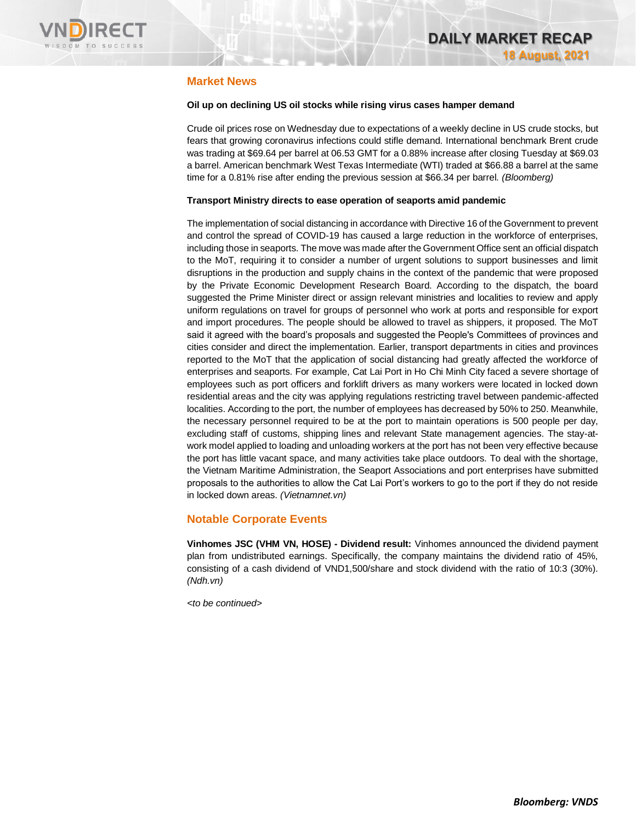

## **Market News**

### **Oil up on declining US oil stocks while rising virus cases hamper demand**

Crude oil prices rose on Wednesday due to expectations of a weekly decline in US crude stocks, but fears that growing coronavirus infections could stifle demand. International benchmark Brent crude was trading at \$69.64 per barrel at 06.53 GMT for a 0.88% increase after closing Tuesday at \$69.03 a barrel. American benchmark West Texas Intermediate (WTI) traded at \$66.88 a barrel at the same time for a 0.81% rise after ending the previous session at \$66.34 per barrel. *(Bloomberg)* 

### **Transport Ministry directs to ease operation of seaports amid pandemic**

The implementation of social distancing in accordance with Directive 16 of the Government to prevent and control the spread of COVID-19 has caused a large reduction in the workforce of enterprises, including those in seaports. The move was made after the Government Office sent an official dispatch to the MoT, requiring it to consider a number of urgent solutions to support businesses and limit disruptions in the production and supply chains in the context of the pandemic that were proposed by the Private Economic Development Research Board. According to the dispatch, the board suggested the Prime Minister direct or assign relevant ministries and localities to review and apply uniform regulations on travel for groups of personnel who work at ports and responsible for export and import procedures. The people should be allowed to travel as shippers, it proposed. The MoT said it agreed with the board's proposals and suggested the People's Committees of provinces and cities consider and direct the implementation. Earlier, transport departments in cities and provinces reported to the MoT that the application of social distancing had greatly affected the workforce of enterprises and seaports. For example, Cat Lai Port in Ho Chi Minh City faced a severe shortage of employees such as port officers and forklift drivers as many workers were located in locked down residential areas and the city was applying regulations restricting travel between pandemic-affected localities. According to the port, the number of employees has decreased by 50% to 250. Meanwhile, the necessary personnel required to be at the port to maintain operations is 500 people per day, excluding staff of customs, shipping lines and relevant State management agencies. The stay-atwork model applied to loading and unloading workers at the port has not been very effective because the port has little vacant space, and many activities take place outdoors. To deal with the shortage, the Vietnam Maritime Administration, the Seaport Associations and port enterprises have submitted proposals to the authorities to allow the Cat Lai Port's workers to go to the port if they do not reside in locked down areas. *(Vietnamnet.vn)*

## **Notable Corporate Events**

**Vinhomes JSC (VHM VN, HOSE) - Dividend result:** Vinhomes announced the dividend payment plan from undistributed earnings. Specifically, the company maintains the dividend ratio of 45%, consisting of a cash dividend of VND1,500/share and stock dividend with the ratio of 10:3 (30%). *(Ndh.vn)*

*<to be continued>*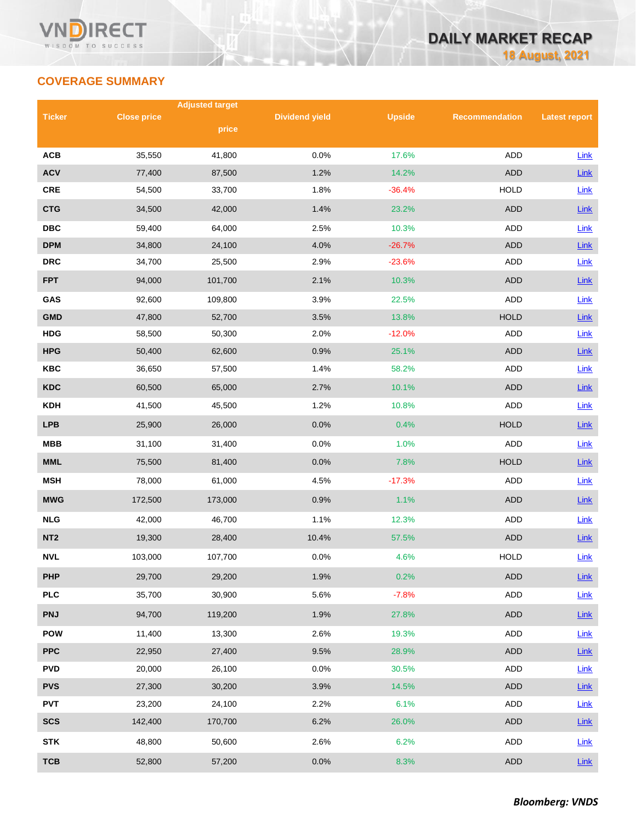## **COVERAGE SUMMARY**

|                 |                    | <b>Adjusted target</b> |                       |               |                       |                      |
|-----------------|--------------------|------------------------|-----------------------|---------------|-----------------------|----------------------|
| <b>Ticker</b>   | <b>Close price</b> |                        | <b>Dividend yield</b> | <b>Upside</b> | <b>Recommendation</b> | <b>Latest report</b> |
|                 |                    | price                  |                       |               |                       |                      |
| <b>ACB</b>      | 35,550             | 41,800                 | 0.0%                  | 17.6%         | ADD                   | Link                 |
| <b>ACV</b>      | 77,400             | 87,500                 | 1.2%                  | 14.2%         | <b>ADD</b>            | Link                 |
| CRE             | 54,500             | 33,700                 | 1.8%                  | $-36.4%$      | <b>HOLD</b>           | Link                 |
| <b>CTG</b>      | 34,500             | 42,000                 | 1.4%                  | 23.2%         | <b>ADD</b>            | Link                 |
| <b>DBC</b>      | 59,400             | 64,000                 | 2.5%                  | 10.3%         | ADD                   | Link                 |
| <b>DPM</b>      | 34,800             | 24,100                 | 4.0%                  | $-26.7%$      | <b>ADD</b>            | Link                 |
| <b>DRC</b>      | 34,700             | 25,500                 | 2.9%                  | $-23.6%$      | ADD                   | Link                 |
| <b>FPT</b>      | 94,000             | 101,700                | 2.1%                  | 10.3%         | <b>ADD</b>            | Link                 |
| GAS             | 92,600             | 109,800                | 3.9%                  | 22.5%         | <b>ADD</b>            | Link                 |
| <b>GMD</b>      | 47,800             | 52,700                 | 3.5%                  | 13.8%         | <b>HOLD</b>           | Link                 |
| <b>HDG</b>      | 58,500             | 50,300                 | 2.0%                  | $-12.0%$      | ADD                   | Link                 |
| <b>HPG</b>      | 50,400             | 62,600                 | 0.9%                  | 25.1%         | <b>ADD</b>            | Link                 |
| <b>KBC</b>      | 36,650             | 57,500                 | 1.4%                  | 58.2%         | ADD                   | <b>Link</b>          |
| <b>KDC</b>      | 60,500             | 65,000                 | 2.7%                  | 10.1%         | <b>ADD</b>            | Link                 |
| <b>KDH</b>      | 41,500             | 45,500                 | 1.2%                  | 10.8%         | ADD                   | <b>Link</b>          |
| <b>LPB</b>      | 25,900             | 26,000                 | 0.0%                  | 0.4%          | <b>HOLD</b>           | Link                 |
| <b>MBB</b>      | 31,100             | 31,400                 | 0.0%                  | 1.0%          | ADD                   | <b>Link</b>          |
| <b>MML</b>      | 75,500             | 81,400                 | 0.0%                  | 7.8%          | <b>HOLD</b>           | Link                 |
| <b>MSH</b>      | 78,000             | 61,000                 | 4.5%                  | $-17.3%$      | ADD                   | Link                 |
| <b>MWG</b>      | 172,500            | 173,000                | 0.9%                  | 1.1%          | <b>ADD</b>            | <b>Link</b>          |
| <b>NLG</b>      | 42,000             | 46,700                 | 1.1%                  | 12.3%         | ADD                   | <b>Link</b>          |
| NT <sub>2</sub> | 19,300             | 28,400                 | 10.4%                 | 57.5%         | <b>ADD</b>            | Link                 |
| <b>NVL</b>      | 103,000            | 107,700                | 0.0%                  | 4.6%          | <b>HOLD</b>           | Link                 |
| <b>PHP</b>      | 29,700             | 29,200                 | 1.9%                  | 0.2%          | ADD                   | Link                 |
| <b>PLC</b>      | 35,700             | 30,900                 | 5.6%                  | $-7.8%$       | ADD                   | Link                 |
| <b>PNJ</b>      | 94,700             | 119,200                | 1.9%                  | 27.8%         | ADD                   | <b>Link</b>          |
| <b>POW</b>      | 11,400             | 13,300                 | 2.6%                  | 19.3%         | ADD                   | <b>Link</b>          |
| <b>PPC</b>      | 22,950             | 27,400                 | 9.5%                  | 28.9%         | ADD                   | Link                 |
| <b>PVD</b>      | 20,000             | 26,100                 | 0.0%                  | 30.5%         | ADD                   | <b>Link</b>          |
| <b>PVS</b>      | 27,300             | 30,200                 | 3.9%                  | 14.5%         | <b>ADD</b>            | <b>Link</b>          |
| <b>PVT</b>      | 23,200             | 24,100                 | 2.2%                  | 6.1%          | ADD                   | Link                 |
| <b>SCS</b>      | 142,400            | 170,700                | 6.2%                  | 26.0%         | ADD                   | $Link$               |
| <b>STK</b>      | 48,800             | 50,600                 | 2.6%                  | 6.2%          | ADD                   | Link                 |
| <b>TCB</b>      | 52,800             | 57,200                 | 0.0%                  | 8.3%          | <b>ADD</b>            | $Link$               |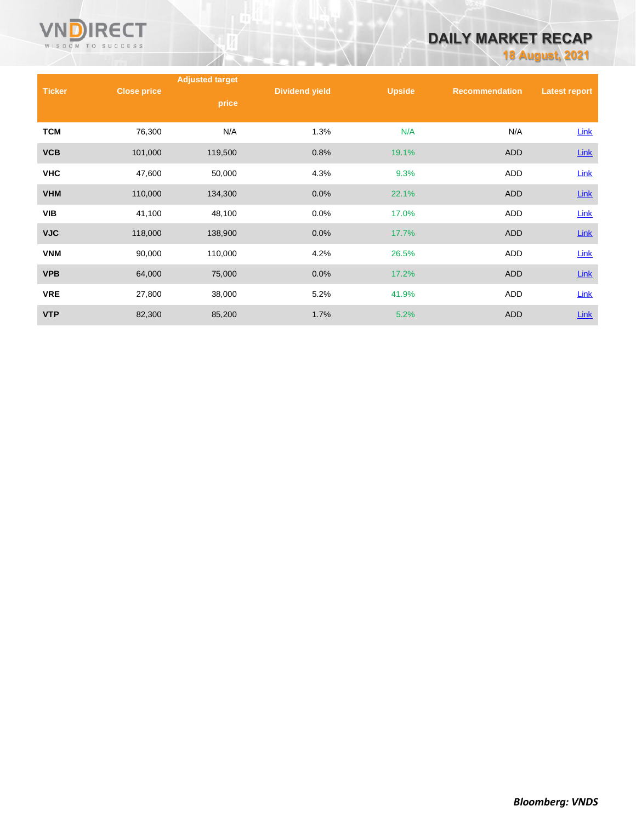

# **DAILY MARKET RECAP**

**18 August, 2021**

|               |                    | <b>Adjusted target</b> |                       |               |                       |                      |
|---------------|--------------------|------------------------|-----------------------|---------------|-----------------------|----------------------|
| <b>Ticker</b> | <b>Close price</b> | price                  | <b>Dividend yield</b> | <b>Upside</b> | <b>Recommendation</b> | <b>Latest report</b> |
| <b>TCM</b>    | 76,300             | N/A                    | 1.3%                  | N/A           | N/A                   | <b>Link</b>          |
| <b>VCB</b>    | 101,000            | 119,500                | 0.8%                  | 19.1%         | <b>ADD</b>            | <b>Link</b>          |
| <b>VHC</b>    | 47,600             | 50,000                 | 4.3%                  | 9.3%          | ADD                   | Link                 |
| <b>VHM</b>    | 110,000            | 134,300                | 0.0%                  | 22.1%         | <b>ADD</b>            | <b>Link</b>          |
| <b>VIB</b>    | 41,100             | 48,100                 | 0.0%                  | 17.0%         | ADD                   | Link                 |
| <b>VJC</b>    | 118,000            | 138,900                | 0.0%                  | 17.7%         | <b>ADD</b>            | Link                 |
| <b>VNM</b>    | 90,000             | 110,000                | 4.2%                  | 26.5%         | ADD                   | <b>Link</b>          |
| <b>VPB</b>    | 64,000             | 75,000                 | 0.0%                  | 17.2%         | <b>ADD</b>            | <b>Link</b>          |
| <b>VRE</b>    | 27,800             | 38,000                 | 5.2%                  | 41.9%         | ADD                   | Link                 |
| <b>VTP</b>    | 82,300             | 85,200                 | 1.7%                  | 5.2%          | <b>ADD</b>            | Link                 |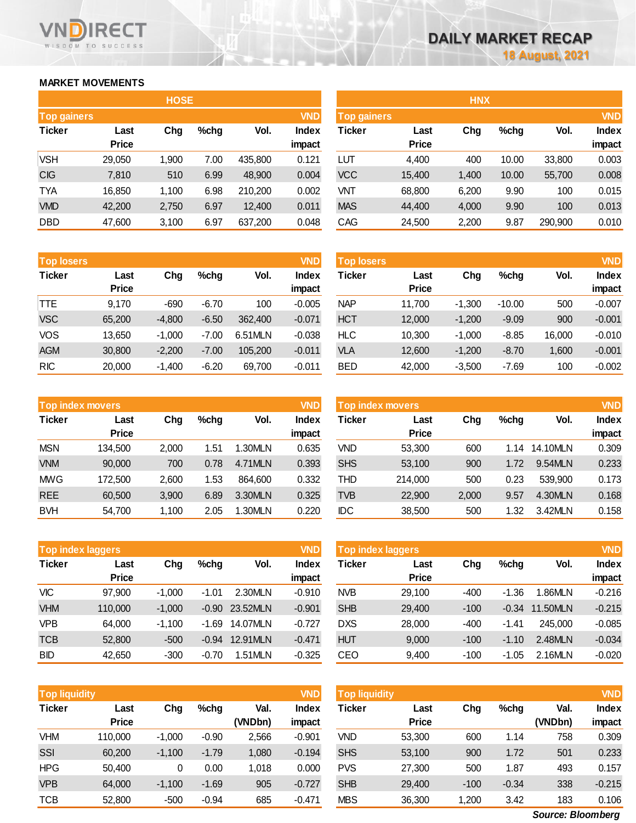## **MARKET MOVEMENTS**

WISDOM TO SUCCESS

VI

**RECT** 

|                    |              | <b>HOSE</b> |      |         |            | <b>HNX</b>         |              |       |       |         |            |
|--------------------|--------------|-------------|------|---------|------------|--------------------|--------------|-------|-------|---------|------------|
| <b>Top gainers</b> |              |             |      |         | <b>VND</b> | <b>Top gainers</b> |              |       |       |         | <b>VND</b> |
| <b>Ticker</b>      | Last         | Chg         | %chg | Vol.    | Index      | Ticker             | Last         | Chg   | %chg  | Vol.    | Index      |
|                    | <b>Price</b> |             |      |         | impact     |                    | <b>Price</b> |       |       |         | impact     |
| <b>VSH</b>         | 29,050       | 1,900       | 7.00 | 435,800 | 0.121      | LUT                | 4,400        | 400   | 10.00 | 33,800  | 0.003      |
| <b>CIG</b>         | 7,810        | 510         | 6.99 | 48,900  | 0.004      | <b>VCC</b>         | 15,400       | 1,400 | 10.00 | 55,700  | 0.008      |
| <b>TYA</b>         | 16,850       | 1,100       | 6.98 | 210,200 | 0.002      | <b>VNT</b>         | 68,800       | 6,200 | 9.90  | 100     | 0.015      |
| <b>VMD</b>         | 42,200       | 2,750       | 6.97 | 12,400  | 0.011      | <b>MAS</b>         | 44,400       | 4,000 | 9.90  | 100     | 0.013      |
| <b>DBD</b>         | 47,600       | 3,100       | 6.97 | 637,200 | 0.048      | CAG                | 24,500       | 2,200 | 9.87  | 290,900 | 0.010      |

|                    |              | <b>HNX</b> |       |         |              |
|--------------------|--------------|------------|-------|---------|--------------|
| <b>Top gainers</b> |              |            |       |         | <b>VND</b>   |
| <b>Ticker</b>      | Last         | Chg        | %chg  | Vol.    | <b>Index</b> |
|                    | <b>Price</b> |            |       |         | impact       |
| LUT                | 4.400        | 400        | 10.00 | 33,800  | 0.003        |
| <b>VCC</b>         | 15,400       | 1,400      | 10.00 | 55,700  | 0.008        |
| VNT                | 68,800       | 6,200      | 9.90  | 100     | 0.015        |
| <b>MAS</b>         | 44,400       | 4,000      | 9.90  | 100     | 0.013        |
| CAG                | 24,500       | 2,200      | 9.87  | 290,900 | 0.010        |

| <b>Top losers</b> |                      |          |         |         | <b>VND</b>      | <b>Top losers</b> |                      |          |          |        |                        |
|-------------------|----------------------|----------|---------|---------|-----------------|-------------------|----------------------|----------|----------|--------|------------------------|
| <b>Ticker</b>     | Last<br><b>Price</b> | Chg      | %chg    | Vol.    | Index<br>impact | Ticker            | Last<br><b>Price</b> | Chg      | $%$ chg  | Vol.   | <b>Index</b><br>impact |
| TTE               | 9,170                | $-690$   | $-6.70$ | 100     | $-0.005$        | <b>NAP</b>        | 11.700               | $-1.300$ | $-10.00$ | 500    | $-0.007$               |
| <b>VSC</b>        | 65,200               | $-4,800$ | $-6.50$ | 362,400 | $-0.071$        | <b>HCT</b>        | 12,000               | $-1,200$ | $-9.09$  | 900    | $-0.001$               |
| VOS               | 13,650               | $-1,000$ | $-7.00$ | 6.51MLN | $-0.038$        | <b>HLC</b>        | 10.300               | $-1,000$ | $-8.85$  | 16,000 | $-0.010$               |
| <b>AGM</b>        | 30,800               | $-2,200$ | $-7.00$ | 105,200 | $-0.011$        | VLA               | 12,600               | $-1,200$ | $-8.70$  | 1,600  | $-0.001$               |
| <b>RIC</b>        | 20,000               | $-1.400$ | $-6.20$ | 69.700  | $-0.011$        | <b>BED</b>        | 42,000               | $-3.500$ | $-7.69$  | 100    | $-0.002$               |

| <b>Top index movers</b> |                      |       |         |         | <b>VND</b>      |            | Top index movers     |       |         |          | <b>VND</b>             |
|-------------------------|----------------------|-------|---------|---------|-----------------|------------|----------------------|-------|---------|----------|------------------------|
| <b>Ticker</b>           | Last<br><b>Price</b> | Chg   | $%$ chg | Vol.    | Index<br>impact | Ticker     | Last<br><b>Price</b> | Chg   | $%$ chg | Vol.     | <b>Index</b><br>impact |
| <b>MSN</b>              | 134,500              | 2.000 | 51.،    | 1.30MLN | 0.635           | VND        | 53,300               | 600   | 1.14    | 14.10MLN | 0.309                  |
| <b>VNM</b>              | 90,000               | 700   | 0.78    | 4.71MLN | 0.393           | <b>SHS</b> | 53,100               | 900   | 1.72    | 9.54MLN  | 0.233                  |
| <b>MWG</b>              | 172.500              | 2.600 | l.53    | 864.600 | 0.332           | <b>THD</b> | 214.000              | 500   | 0.23    | 539,900  | 0.173                  |
| <b>REE</b>              | 60,500               | 3,900 | 6.89    | 3.30MLN | 0.325           | TVB        | 22,900               | 2,000 | 9.57    | 4.30MLN  | 0.168                  |
| <b>BVH</b>              | 54,700               | 1.100 | 2.05    | .30MLN  | 0.220           | IDC        | 38,500               | 500   | 1.32    | 3.42MLN  | 0.158                  |

| <b>Top index laggers</b> |                      |          |         |          | <b>VND</b>      | Top index laggers |                      |        |         |          | <b>VND</b>             |
|--------------------------|----------------------|----------|---------|----------|-----------------|-------------------|----------------------|--------|---------|----------|------------------------|
| <b>Ticker</b>            | Last<br><b>Price</b> | Chg      | $%$ chg | Vol.     | Index<br>impact | <b>Ticker</b>     | Last<br><b>Price</b> | Chg    | %chg    | Vol.     | <b>Index</b><br>impact |
| <b>VIC</b>               | 97,900               | $-1.000$ | $-1.01$ | 2.30MLN  | $-0.910$        | <b>NVB</b>        | 29.100               | $-400$ | $-1.36$ | .86MLN   | $-0.216$               |
| <b>VHM</b>               | 110,000              | $-1.000$ | $-0.90$ | 23.52MLN | $-0.901$        | <b>SHB</b>        | 29,400               | $-100$ | $-0.34$ | 11.50MLN | $-0.215$               |
| <b>VPB</b>               | 64,000               | $-1.100$ | $-1.69$ | 14.07MLN | $-0.727$        | <b>DXS</b>        | 28,000               | $-400$ | -1.41   | 245,000  | $-0.085$               |
| <b>TCB</b>               | 52,800               | $-500$   | $-0.94$ | 12.91MLN | $-0.471$        | <b>HUT</b>        | 9.000                | $-100$ | $-1.10$ | 2.48MLN  | $-0.034$               |
| <b>BID</b>               | 42,650               | $-300$   | $-0.70$ | .51MLN   | $-0.325$        | CEO               | 9.400                | $-100$ | $-1.05$ | 2.16MLN  | $-0.020$               |

| <b>Top liquidity</b> |                      |          |         |                 | <b>VND</b>      | <b>Top liquidity</b> |                      |        |         |                 | <b>VND</b>             |
|----------------------|----------------------|----------|---------|-----------------|-----------------|----------------------|----------------------|--------|---------|-----------------|------------------------|
| <b>Ticker</b>        | Last<br><b>Price</b> | Chg      | %chg    | Val.<br>(VNDbn) | Index<br>impact | Ticker               | Last<br><b>Price</b> | Chg    | %chg    | Val.<br>(VNDbn) | <b>Index</b><br>impact |
| <b>VHM</b>           | 110,000              | $-1,000$ | $-0.90$ | 2,566           | $-0.901$        | VND                  | 53,300               | 600    | 1.14    | 758             | 0.309                  |
|                      |                      |          |         |                 |                 |                      |                      |        |         |                 |                        |
| SSI                  | 60,200               | $-1,100$ | $-1.79$ | 1,080           | $-0.194$        | <b>SHS</b>           | 53,100               | 900    | 1.72    | 501             | 0.233                  |
| <b>HPG</b>           | 50.400               | 0        | 0.00    | 1.018           | 0.000           | <b>PVS</b>           | 27,300               | 500    | 1.87    | 493             | 0.157                  |
| <b>VPB</b>           | 64,000               | $-1,100$ | $-1.69$ | 905             | $-0.727$        | <b>SHB</b>           | 29,400               | $-100$ | $-0.34$ | 338             | $-0.215$               |
| <b>TCB</b>           | 52,800               | $-500$   | $-0.94$ | 685             | $-0.471$        | <b>MBS</b>           | 36,300               | 1,200  | 3.42    | 183             | 0.106                  |

*Source: Bloomberg*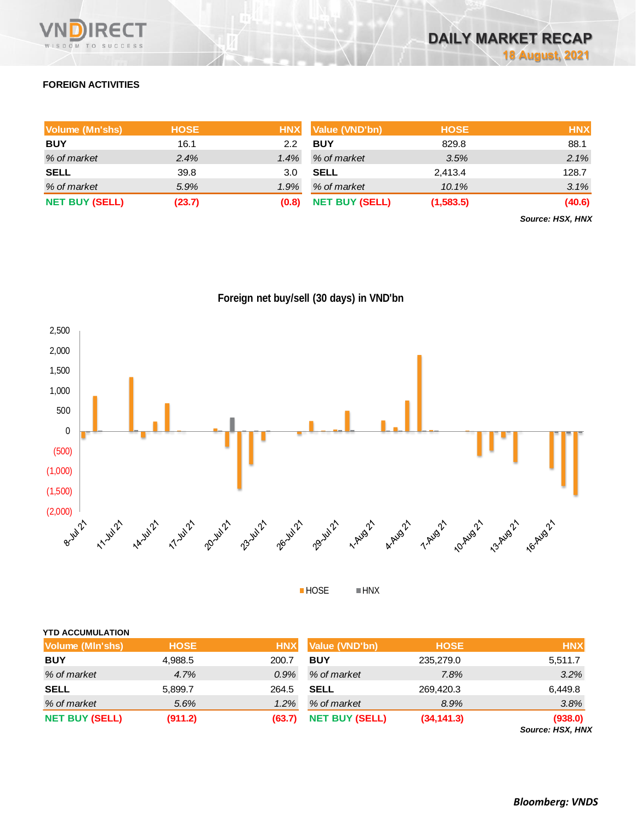

## **FOREIGN ACTIVITIES**

| Volume (Mn'shs)       | <b>HOSE</b> | <b>HNX</b> | Value (VND'bn)        | <b>HOSE</b> | <b>HNX</b> |
|-----------------------|-------------|------------|-----------------------|-------------|------------|
| <b>BUY</b>            | 16.1        | 2.2        | <b>BUY</b>            | 829.8       | 88.1       |
| % of market           | 2.4%        | 1.4%       | % of market           | 3.5%        | 2.1%       |
| <b>SELL</b>           | 39.8        | 3.0        | <b>SELL</b>           | 2,413.4     | 128.7      |
| % of market           | 5.9%        | 1.9%       | % of market           | 10.1%       | 3.1%       |
| <b>NET BUY (SELL)</b> | (23.7)      | (0.8)      | <b>NET BUY (SELL)</b> | (1,583.5)   | (40.6)     |

*Source: HSX, HNX*





HOSE HNX

| <b>SELL</b>           | 5,899.7 | 264.5  | <b>SELL</b>           | 269,420.3   | 6,449.8                     |
|-----------------------|---------|--------|-----------------------|-------------|-----------------------------|
| % of market           | 5.6%    | 1.2%   | % of market           | 8.9%        | 3.8%                        |
| <b>NET BUY (SELL)</b> | (911.2) | (63.7) | <b>NET BUY (SELL)</b> | (34, 141.3) | (938.0)<br>Source: HSX, HNX |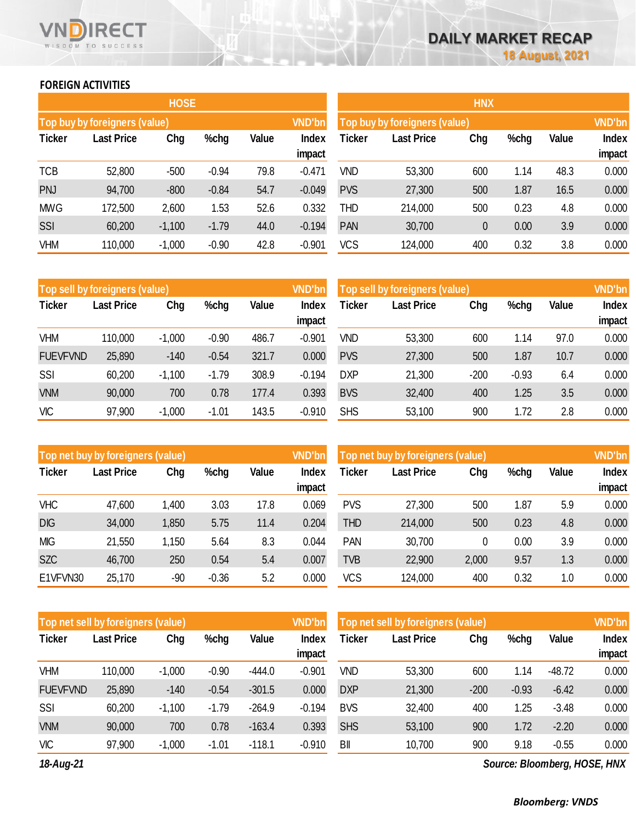## **FOREIGN ACTIVITIES**

WISDOM TO SUCCESS

RECT

|               |                               | <b>HOSE</b> |         |       | <b>HNX</b>      |                               |                   |     |      |       |                        |
|---------------|-------------------------------|-------------|---------|-------|-----------------|-------------------------------|-------------------|-----|------|-------|------------------------|
|               | Top buy by foreigners (value) |             |         |       | <b>VND'bn</b>   | Top buy by foreigners (value) | <b>VND'bn</b>     |     |      |       |                        |
| <b>Ticker</b> | <b>Last Price</b>             | Chg         | %chg    | Value | Index<br>impact | Ticker                        | <b>Last Price</b> | Chg | %chg | Value | <b>Index</b><br>impact |
| <b>TCB</b>    | 52,800                        | $-500$      | $-0.94$ | 79.8  | $-0.471$        | VND                           | 53,300            | 600 | 1.14 | 48.3  | 0.000                  |
| <b>PNJ</b>    | 94,700                        | $-800$      | $-0.84$ | 54.7  | $-0.049$        | <b>PVS</b>                    | 27,300            | 500 | 1.87 | 16.5  | 0.000                  |
| <b>MWG</b>    | 172,500                       | 2,600       | 1.53    | 52.6  | 0.332           | THD                           | 214,000           | 500 | 0.23 | 4.8   | 0.000                  |
| SSI           | 60,200                        | $-1,100$    | $-1.79$ | 44.0  | $-0.194$        | <b>PAN</b>                    | 30,700            | 0   | 0.00 | 3.9   | 0.000                  |
| VHM           | 110,000                       | $-1,000$    | $-0.90$ | 42.8  | $-0.901$        | VCS                           | 124,000           | 400 | 0.32 | 3.8   | 0.000                  |

| <b>VND'bn</b><br>Top sell by foreigners (value) |            |          |         |              |                 | Top sell by foreigners (value) |                   | <b>VND'bn</b> |         |       |                 |
|-------------------------------------------------|------------|----------|---------|--------------|-----------------|--------------------------------|-------------------|---------------|---------|-------|-----------------|
| <b>Ticker</b>                                   | Last Price | Chg      | %chg    | <b>Value</b> | Index<br>impact | Ticker                         | <b>Last Price</b> | Chg           | %chg    | Value | Index<br>impact |
| VHM                                             | 110,000    | $-1,000$ | $-0.90$ | 486.7        | $-0.901$        | VND                            | 53,300            | 600           | 1.14    | 97.0  | 0.000           |
| <b>FUEVFVND</b>                                 | 25,890     | $-140$   | $-0.54$ | 321.7        | 0.000           | <b>PVS</b>                     | 27,300            | 500           | 1.87    | 10.7  | 0.000           |
| SSI                                             | 60,200     | $-1,100$ | $-1.79$ | 308.9        | $-0.194$        | <b>DXP</b>                     | 21,300            | $-200$        | $-0.93$ | 6.4   | 0.000           |
| <b>VNM</b>                                      | 90,000     | 700      | 0.78    | 177.4        | 0.393           | <b>BVS</b>                     | 32,400            | 400           | 1.25    | 3.5   | 0.000           |
| <b>VIC</b>                                      | 97,900     | $-1,000$ | $-1.01$ | 143.5        | $-0.910$        | <b>SHS</b>                     | 53,100            | 900           | 1.72    | 2.8   | 0.000           |

| <b>VND'bn</b><br>Top net buy by foreigners (value) |                   |       |         |              |                 | Top net buy by foreigners (value) | <b>VND'bn</b>     |       |      |       |                        |
|----------------------------------------------------|-------------------|-------|---------|--------------|-----------------|-----------------------------------|-------------------|-------|------|-------|------------------------|
| <b>Ticker</b>                                      | <b>Last Price</b> | Chg   | %chg    | <b>Value</b> | Index<br>impact | Ticker                            | <b>Last Price</b> | Chg   | %chg | Value | <b>Index</b><br>impact |
| <b>VHC</b>                                         | 47,600            | 1,400 | 3.03    | 17.8         | 0.069           | <b>PVS</b>                        | 27,300            | 500   | 1.87 | 5.9   | 0.000                  |
| <b>DIG</b>                                         | 34,000            | 1,850 | 5.75    | 11.4         | 0.204           | <b>THD</b>                        | 214,000           | 500   | 0.23 | 4.8   | 0.000                  |
| <b>MIG</b>                                         | 21,550            | 1,150 | 5.64    | 8.3          | 0.044           | <b>PAN</b>                        | 30,700            | 0     | 0.00 | 3.9   | 0.000                  |
| <b>SZC</b>                                         | 46,700            | 250   | 0.54    | 5.4          | 0.007           | <b>TVB</b>                        | 22,900            | 2,000 | 9.57 | 1.3   | 0.000                  |
| E1VFVN30                                           | 25,170            | -90   | $-0.36$ | 5.2          | 0.000           | <b>VCS</b>                        | 124,000           | 400   | 0.32 | 1.0   | 0.000                  |

| Top net sell by foreigners (value) |                   |          |         |              | <b>VND'bn</b>   | Top net sell by foreigners (value) |                   |        |         |          | <b>VND'bn</b>   |
|------------------------------------|-------------------|----------|---------|--------------|-----------------|------------------------------------|-------------------|--------|---------|----------|-----------------|
| <b>Ticker</b>                      | <b>Last Price</b> | Chg      | %chg    | <b>Value</b> | Index<br>impact | Ticker                             | <b>Last Price</b> | Chg    | %chg    | Value    | Index<br>impact |
| <b>VHM</b>                         | 110,000           | $-1,000$ | $-0.90$ | $-444.0$     | $-0.901$        | <b>VND</b>                         | 53,300            | 600    | 1.14    | $-48.72$ | 0.000           |
| <b>FUEVFVND</b>                    | 25,890            | $-140$   | $-0.54$ | $-301.5$     | 0.000           | <b>DXP</b>                         | 21,300            | $-200$ | $-0.93$ | $-6.42$  | 0.000           |
| SSI                                | 60,200            | $-1,100$ | $-1.79$ | $-264.9$     | $-0.194$        | <b>BVS</b>                         | 32,400            | 400    | 1.25    | $-3.48$  | 0.000           |
| <b>VNM</b>                         | 90,000            | 700      | 0.78    | $-163.4$     | 0.393           | <b>SHS</b>                         | 53,100            | 900    | 1.72    | $-2.20$  | 0.000           |
| <b>VIC</b>                         | 97,900            | $-1,000$ | $-1.01$ | $-118.1$     | $-0.910$        | BII                                | 10,700            | 900    | 9.18    | $-0.55$  | 0.000           |

*18-Aug-21*

*Source: Bloomberg, HOSE, HNX*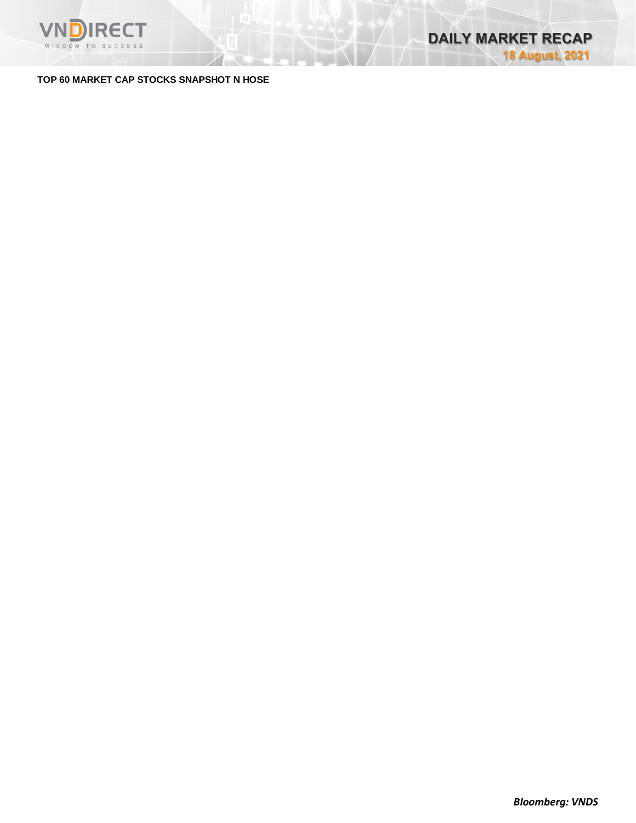

### **TOP 60 MARKET CAP STOCKS SNAPSHOT N HOSE**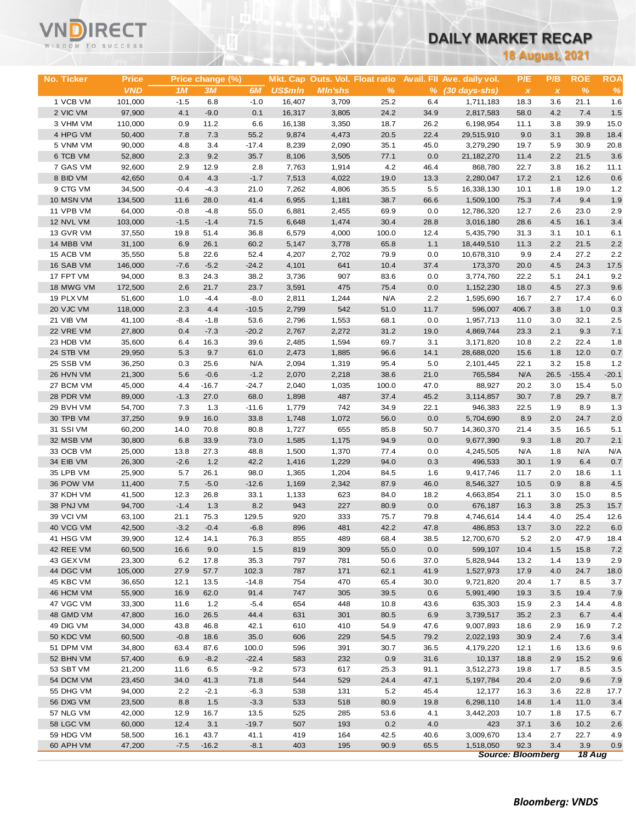# VNĒ WNDIRECT

## **DAILY MARKET RECAP**

**18 August, 2021**

| No. Ticker | <b>Price</b> |        | Price change (%) |         |                |                |               |      | Mkt. Cap Outs. Vol. Float ratio Avail. Fll Ave. daily vol. | P/E                       | P/B          | <b>ROE</b>    | <b>ROA</b> |
|------------|--------------|--------|------------------|---------|----------------|----------------|---------------|------|------------------------------------------------------------|---------------------------|--------------|---------------|------------|
|            | <b>VND</b>   | 1M     | 3M               | 6M      | <b>US\$mln</b> | <b>MIn'shs</b> | $\frac{9}{6}$ |      | $%$ $(30 \text{ days-shs})$                                | $\boldsymbol{\mathsf{x}}$ | $\pmb{\chi}$ | $\%$          | $\%$       |
| 1 VCB VM   | 101,000      | $-1.5$ | 6.8              | $-1.0$  | 16,407         | 3,709          | 25.2          | 6.4  | 1,711,183                                                  | 18.3                      | 3.6          | 21.1          | 1.6        |
| 2 VIC VM   | 97,900       | 4.1    | $-9.0$           | 0.1     | 16,317         | 3,805          | 24.2          | 34.9 | 2,817,583                                                  | 58.0                      | 4.2          | 7.4           | 1.5        |
| 3 VHM VM   | 110,000      | 0.9    | 11.2             | 6.6     | 16,138         | 3,350          | 18.7          | 26.2 | 6,198,954                                                  | 11.1                      | 3.8          | 39.9          | 15.0       |
| 4 HPG VM   | 50,400       | 7.8    | 7.3              | 55.2    | 9,874          | 4,473          | 20.5          | 22.4 | 29,515,910                                                 | 9.0                       | 3.1          | 39.8          | 18.4       |
| 5 VNM VM   | 90,000       | 4.8    | 3.4              | $-17.4$ | 8,239          | 2,090          | 35.1          | 45.0 | 3,279,290                                                  | 19.7                      | 5.9          | 30.9          | 20.8       |
| 6 TCB VM   | 52,800       | 2.3    | 9.2              | 35.7    | 8,106          | 3,505          | 77.1          | 0.0  | 21, 182, 270                                               | 11.4                      | 2.2          | 21.5          | 3.6        |
| 7 GAS VM   | 92,600       | 2.9    | 12.9             | 2.8     | 7,763          | 1,914          | 4.2           | 46.4 | 868,780                                                    | 22.7                      | 3.8          | 16.2          | 11.1       |
| 8 BID VM   | 42,650       | 0.4    | 4.3              | $-1.7$  | 7,513          | 4,022          | 19.0          | 13.3 | 2,280,047                                                  | 17.2                      | 2.1          | 12.6          | 0.6        |
| 9 CTG VM   | 34,500       | $-0.4$ | $-4.3$           | 21.0    | 7,262          | 4,806          | 35.5          | 5.5  | 16,338,130                                                 | 10.1                      | 1.8          | 19.0          | 1.2        |
| 10 MSN VM  | 134,500      | 11.6   | 28.0             | 41.4    | 6,955          | 1,181          | 38.7          | 66.6 | 1,509,100                                                  | 75.3                      | 7.4          | 9.4           | 1.9        |
| 11 VPB VM  | 64,000       | $-0.8$ | $-4.8$           | 55.0    | 6,881          | 2,455          | 69.9          | 0.0  | 12,786,320                                                 | 12.7                      | 2.6          | 23.0          | 2.9        |
| 12 NVL VM  | 103,000      | $-1.5$ | $-1.4$           | 71.5    | 6,648          | 1,474          | 30.4          | 28.8 | 3,016,180                                                  | 28.6                      | 4.5          | 16.1          | 3.4        |
| 13 GVR VM  | 37,550       | 19.8   | 51.4             | 36.8    | 6,579          | 4,000          | 100.0         | 12.4 | 5,435,790                                                  | 31.3                      | 3.1          | 10.1          | 6.1        |
| 14 MBB VM  | 31,100       | 6.9    | 26.1             | 60.2    | 5,147          | 3,778          | 65.8          | 1.1  | 18,449,510                                                 | 11.3                      | 2.2          | 21.5          | 2.2        |
| 15 ACB VM  | 35,550       | 5.8    | 22.6             | 52.4    | 4,207          | 2,702          | 79.9          | 0.0  | 10,678,310                                                 | 9.9                       | 2.4          | 27.2          | 2.2        |
| 16 SAB VM  | 146,000      | $-7.6$ | $-5.2$           | $-24.2$ | 4,101          | 641            | 10.4          | 37.4 | 173,370                                                    | 20.0                      | 4.5          | 24.3          | 17.5       |
| 17 FPT VM  | 94,000       | 8.3    | 24.3             | 38.2    | 3,736          | 907            | 83.6          | 0.0  | 3,774,760                                                  | 22.2                      | 5.1          | 24.1          | 9.2        |
| 18 MWG VM  | 172,500      | 2.6    | 21.7             | 23.7    | 3,591          | 475            | 75.4          | 0.0  | 1,152,230                                                  | 18.0                      | 4.5          | 27.3          | 9.6        |
| 19 PLX VM  | 51,600       | 1.0    | $-4.4$           | $-8.0$  | 2,811          | 1,244          | N/A           | 2.2  | 1,595,690                                                  | 16.7                      | 2.7          | 17.4          | 6.0        |
| 20 VJC VM  | 118,000      | 2.3    | 4.4              | $-10.5$ | 2,799          | 542            | 51.0          | 11.7 | 596,007                                                    | 406.7                     | 3.8          | 1.0           | 0.3        |
| 21 VIB VM  | 41,100       | $-8.4$ | $-1.8$           | 53.6    | 2,796          | 1,553          | 68.1          | 0.0  | 1,957,713                                                  | 11.0                      | 3.0          | 32.1          | 2.5        |
| 22 VRE VM  | 27,800       | 0.4    | $-7.3$           | $-20.2$ | 2,767          | 2,272          | 31.2          | 19.0 | 4,869,744                                                  | 23.3                      | 2.1          | 9.3           | 7.1        |
| 23 HDB VM  | 35,600       | 6.4    | 16.3             | 39.6    | 2,485          | 1,594          | 69.7          | 3.1  | 3,171,820                                                  | 10.8                      | 2.2          | 22.4          | 1.8        |
| 24 STB VM  | 29,950       | 5.3    | 9.7              | 61.0    | 2,473          | 1,885          | 96.6          | 14.1 | 28,688,020                                                 | 15.6                      | 1.8          | 12.0          | 0.7        |
| 25 SSB VM  | 36,250       | 0.3    | 25.6             | N/A     | 2,094          | 1,319          | 95.4          | 5.0  | 2,101,445                                                  | 22.1                      | 3.2          | 15.8          | 1.2        |
| 26 HVN VM  |              | 5.6    | $-0.6$           | $-1.2$  | 2,070          | 2,218          | 38.6          | 21.0 | 765,584                                                    | N/A                       | 26.5         | $-155.4$      | $-20.1$    |
|            | 21,300       |        | $-16.7$          | $-24.7$ | 2,040          |                |               |      |                                                            |                           |              | 15.4          | 5.0        |
| 27 BCM VM  | 45,000       | 4.4    |                  |         |                | 1,035          | 100.0         | 47.0 | 88,927                                                     | 20.2                      | 3.0          |               |            |
| 28 PDR VM  | 89,000       | $-1.3$ | 27.0             | 68.0    | 1,898<br>1,779 | 487            | 37.4          | 45.2 | 3,114,857                                                  | 30.7                      | 7.8          | 29.7          | 8.7        |
| 29 BVH VM  | 54,700       | 7.3    | 1.3              | $-11.6$ |                | 742            | 34.9          | 22.1 | 946,383                                                    | 22.5                      | 1.9          | 8.9           | 1.3        |
| 30 TPB VM  | 37,250       | 9.9    | 16.0             | 33.8    | 1,748          | 1,072          | 56.0          | 0.0  | 5,704,690                                                  | 8.9                       | 2.0          | 24.7          | 2.0        |
| 31 SSI VM  | 60,200       | 14.0   | 70.8             | 80.8    | 1,727          | 655            | 85.8          | 50.7 | 14,360,370                                                 | 21.4                      | 3.5          | 16.5          | 5.1        |
| 32 MSB VM  | 30,800       | 6.8    | 33.9             | 73.0    | 1,585          | 1,175          | 94.9          | 0.0  | 9,677,390                                                  | 9.3                       | 1.8          | 20.7          | 2.1        |
| 33 OCB VM  | 25,000       | 13.8   | 27.3             | 48.8    | 1,500          | 1,370          | 77.4          | 0.0  | 4,245,505                                                  | N/A                       | 1.8          | N/A           | N/A        |
| 34 EIB VM  | 26,300       | $-2.6$ | 1.2              | 42.2    | 1,416          | 1,229          | 94.0          | 0.3  | 496,533                                                    | 30.1                      | 1.9          | 6.4           | 0.7        |
| 35 LPB VM  | 25,900       | 5.7    | 26.1             | 98.0    | 1,365          | 1,204          | 84.5          | 1.6  | 9,417,746                                                  | 11.7                      | 2.0          | 18.6          | 1.1        |
| 36 POW VM  | 11,400       | 7.5    | $-5.0$           | $-12.6$ | 1,169          | 2,342          | 87.9          | 46.0 | 8,546,327                                                  | 10.5                      | 0.9          | 8.8           | 4.5        |
| 37 KDH VM  | 41,500       | 12.3   | 26.8             | 33.1    | 1,133          | 623            | 84.0          | 18.2 | 4,663,854                                                  | 21.1                      | 3.0          | 15.0          | 8.5        |
| 38 PNJ VM  | 94,700       | $-1.4$ | 1.3              | 8.2     | 943            | 227            | 80.9          | 0.0  | 676,187                                                    | 16.3                      | 3.8          | 25.3          | 15.7       |
| 39 VCI VM  | 63,100       | 21.1   | 75.3             | 129.5   | 920            | 333            | 75.7          | 79.8 | 4,746,614                                                  | 14.4                      | 4.0          | 25.4          | 12.6       |
| 40 VCG VM  | 42,500       | $-3.2$ | $-0.4$           | $-6.8$  | 896            | 481            | 42.2          | 47.8 | 486,853                                                    | 13.7                      | 3.0          | 22.2          | 6.0        |
| 41 HSG VM  | 39,900       | 12.4   | 14.1             | 76.3    | 855            | 489            | 68.4          | 38.5 | 12,700,670                                                 | 5.2                       | 2.0          | 47.9          | 18.4       |
| 42 REE VM  | 60,500       | 16.6   | 9.0              | 1.5     | 819            | 309            | 55.0          | 0.0  | 599,107                                                    | 10.4                      | 1.5          | 15.8          | 7.2        |
| 43 GEX VM  | 23,300       | 6.2    | 17.8             | 35.3    | 797            | 781            | 50.6          | 37.0 | 5,828,944                                                  | 13.2                      | 1.4          | 13.9          | 2.9        |
| 44 DGC VM  | 105,000      | 27.9   | 57.7             | 102.3   | 787            | 171            | 62.1          | 41.9 | 1,527,973                                                  | 17.9                      | 4.0          | 24.7          | 18.0       |
| 45 KBC VM  | 36,650       | 12.1   | 13.5             | $-14.8$ | 754            | 470            | 65.4          | 30.0 | 9,721,820                                                  | 20.4                      | 1.7          | 8.5           | 3.7        |
| 46 HCM VM  | 55,900       | 16.9   | 62.0             | 91.4    | 747            | 305            | 39.5          | 0.6  | 5,991,490                                                  | 19.3                      | 3.5          | 19.4          | 7.9        |
| 47 VGC VM  | 33,300       | 11.6   | 1.2              | $-5.4$  | 654            | 448            | 10.8          | 43.6 | 635,303                                                    | 15.9                      | 2.3          | 14.4          | 4.8        |
| 48 GMD VM  | 47,800       | 16.0   | 26.5             | 44.4    | 631            | 301            | 80.5          | 6.9  | 3,739,517                                                  | 35.2                      | 2.3          | 6.7           | 4.4        |
| 49 DIG VM  | 34,000       | 43.8   | 46.8             | 42.1    | 610            | 410            | 54.9          | 47.6 | 9,007,893                                                  | 18.6                      | 2.9          | 16.9          | 7.2        |
| 50 KDC VM  | 60,500       | $-0.8$ | 18.6             | 35.0    | 606            | 229            | 54.5          | 79.2 | 2,022,193                                                  | 30.9                      | 2.4          | 7.6           | 3.4        |
| 51 DPM VM  | 34,800       | 63.4   | 87.6             | 100.0   | 596            | 391            | 30.7          | 36.5 | 4,179,220                                                  | 12.1                      | 1.6          | 13.6          | 9.6        |
| 52 BHN VM  | 57,400       | 6.9    | $-8.2$           | $-22.4$ | 583            | 232            | 0.9           | 31.6 | 10,137                                                     | 18.8                      | 2.9          | 15.2          | 9.6        |
| 53 SBT VM  | 21,200       | 11.6   | 6.5              | $-9.2$  | 573            | 617            | 25.3          | 91.1 | 3,512,273                                                  | 19.8                      | 1.7          | 8.5           | 3.5        |
| 54 DCM VM  | 23,450       | 34.0   | 41.3             | 71.8    | 544            | 529            | 24.4          | 47.1 | 5,197,784                                                  | 20.4                      | 2.0          | 9.6           | 7.9        |
| 55 DHG VM  | 94,000       | 2.2    | $-2.1$           | $-6.3$  | 538            | 131            | 5.2           | 45.4 | 12,177                                                     | 16.3                      | 3.6          | 22.8          | 17.7       |
| 56 DXG VM  | 23,500       | 8.8    | 1.5              | $-3.3$  | 533            | 518            | 80.9          | 19.8 | 6,298,110                                                  | 14.8                      | 1.4          | 11.0          | 3.4        |
| 57 NLG VM  | 42,000       | 12.9   | 16.7             | 13.5    | 525            | 285            | 53.6          | 4.1  | 3,442,203                                                  | 10.7                      | 1.8          | 17.5          | 6.7        |
| 58 LGC VM  | 60,000       | 12.4   | 3.1              | $-19.7$ | 507            | 193            | 0.2           | 4.0  | 423                                                        | 37.1                      | 3.6          | 10.2          | 2.6        |
| 59 HDG VM  | 58,500       | 16.1   | 43.7             | 41.1    | 419            | 164            | 42.5          | 40.6 | 3,009,670                                                  | 13.4                      | 2.7          | 22.7          | 4.9        |
| 60 APH VM  | 47,200       | $-7.5$ | $-16.2$          | $-8.1$  | 403            | 195            | 90.9          | 65.5 | 1,518,050                                                  | 92.3                      | 3.4          | 3.9           | 0.9        |
|            |              |        |                  |         |                |                |               |      |                                                            | <b>Source: Bloomberg</b>  |              | <b>18 Aug</b> |            |